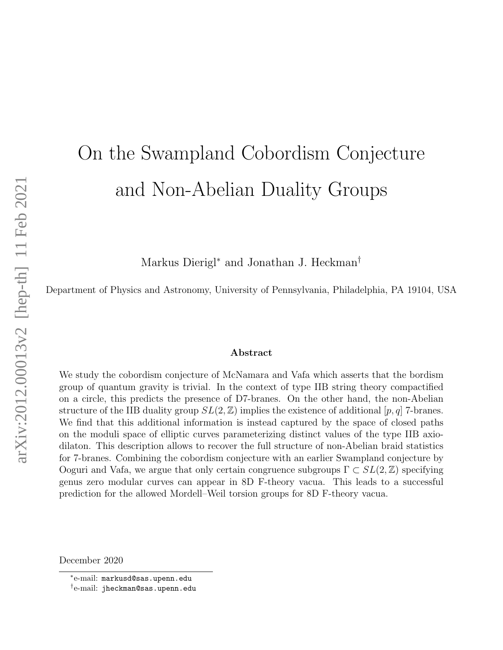# On the Swampland Cobordism Conjecture and Non-Abelian Duality Groups

Markus Dierigl<sup>∗</sup> and Jonathan J. Heckman†

Department of Physics and Astronomy, University of Pennsylvania, Philadelphia, PA 19104, USA

#### Abstract

We study the cobordism conjecture of McNamara and Vafa which asserts that the bordism group of quantum gravity is trivial. In the context of type IIB string theory compactified on a circle, this predicts the presence of D7-branes. On the other hand, the non-Abelian structure of the IIB duality group  $SL(2,\mathbb{Z})$  implies the existence of additional  $[p,q]$  7-branes. We find that this additional information is instead captured by the space of closed paths on the moduli space of elliptic curves parameterizing distinct values of the type IIB axiodilaton. This description allows to recover the full structure of non-Abelian braid statistics for 7-branes. Combining the cobordism conjecture with an earlier Swampland conjecture by Ooguri and Vafa, we argue that only certain congruence subgroups  $\Gamma \subset SL(2,\mathbb{Z})$  specifying genus zero modular curves can appear in 8D F-theory vacua. This leads to a successful prediction for the allowed Mordell–Weil torsion groups for 8D F-theory vacua.

December 2020

<sup>∗</sup> e-mail: markusd@sas.upenn.edu

 $^\dagger$ e-mail: jheckman@sas.upenn.edu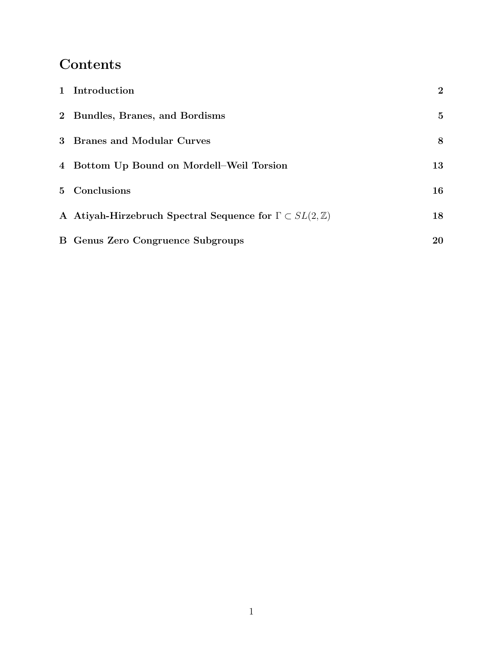## Contents

| 1 Introduction                                                              | $\overline{2}$ |
|-----------------------------------------------------------------------------|----------------|
| 2 Bundles, Branes, and Bordisms                                             | 5              |
| 3 Branes and Modular Curves                                                 | 8              |
| 4 Bottom Up Bound on Mordell–Weil Torsion                                   | 13             |
| 5 Conclusions                                                               | 16             |
| A Atiyah-Hirzebruch Spectral Sequence for $\Gamma \subset SL(2,\mathbb{Z})$ | 18             |
| <b>B</b> Genus Zero Congruence Subgroups                                    | 20             |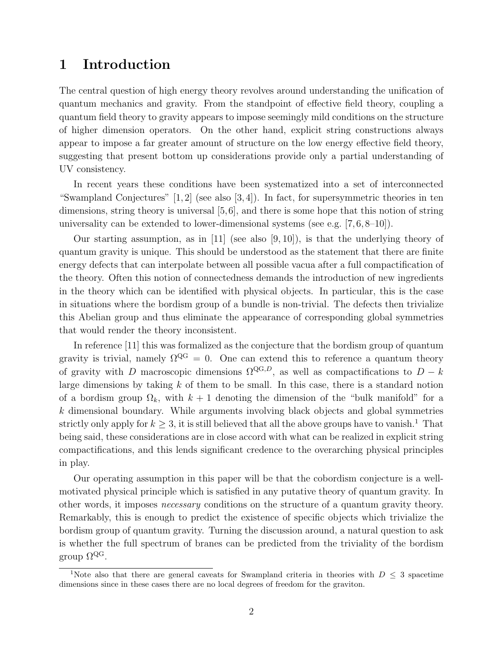#### <span id="page-2-0"></span>1 Introduction

The central question of high energy theory revolves around understanding the unification of quantum mechanics and gravity. From the standpoint of effective field theory, coupling a quantum field theory to gravity appears to impose seemingly mild conditions on the structure of higher dimension operators. On the other hand, explicit string constructions always appear to impose a far greater amount of structure on the low energy effective field theory, suggesting that present bottom up considerations provide only a partial understanding of UV consistency.

In recent years these conditions have been systematized into a set of interconnected "Swampland Conjectures"  $[1, 2]$  $[1, 2]$  (see also  $[3, 4]$  $[3, 4]$ ). In fact, for supersymmetric theories in ten dimensions, string theory is universal [\[5,](#page-21-4)[6\]](#page-21-5), and there is some hope that this notion of string universality can be extended to lower-dimensional systems (see e.g. [\[7,](#page-21-6) [6,](#page-21-5) [8](#page-21-7)[–10\]](#page-21-8)).

Our starting assumption, as in [\[11\]](#page-21-9) (see also [\[9,](#page-21-10) [10\]](#page-21-8)), is that the underlying theory of quantum gravity is unique. This should be understood as the statement that there are finite energy defects that can interpolate between all possible vacua after a full compactification of the theory. Often this notion of connectedness demands the introduction of new ingredients in the theory which can be identified with physical objects. In particular, this is the case in situations where the bordism group of a bundle is non-trivial. The defects then trivialize this Abelian group and thus eliminate the appearance of corresponding global symmetries that would render the theory inconsistent.

In reference [\[11\]](#page-21-9) this was formalized as the conjecture that the bordism group of quantum gravity is trivial, namely  $\Omega^{\text{QG}} = 0$ . One can extend this to reference a quantum theory of gravity with D macroscopic dimensions  $\Omega^{QG,D}$ , as well as compactifications to  $D - k$ large dimensions by taking  $k$  of them to be small. In this case, there is a standard notion of a bordism group  $\Omega_k$ , with  $k+1$  denoting the dimension of the "bulk manifold" for a k dimensional boundary. While arguments involving black objects and global symmetries strictly only apply for  $k \geq 3$ , it is still believed that all the above groups have to vanish.<sup>[1](#page-2-1)</sup> That being said, these considerations are in close accord with what can be realized in explicit string compactifications, and this lends significant credence to the overarching physical principles in play.

Our operating assumption in this paper will be that the cobordism conjecture is a wellmotivated physical principle which is satisfied in any putative theory of quantum gravity. In other words, it imposes necessary conditions on the structure of a quantum gravity theory. Remarkably, this is enough to predict the existence of specific objects which trivialize the bordism group of quantum gravity. Turning the discussion around, a natural question to ask is whether the full spectrum of branes can be predicted from the triviality of the bordism group  $\Omega^{\text{QG}}$ .

<span id="page-2-1"></span><sup>&</sup>lt;sup>1</sup>Note also that there are general caveats for Swampland criteria in theories with  $D \leq 3$  spacetime dimensions since in these cases there are no local degrees of freedom for the graviton.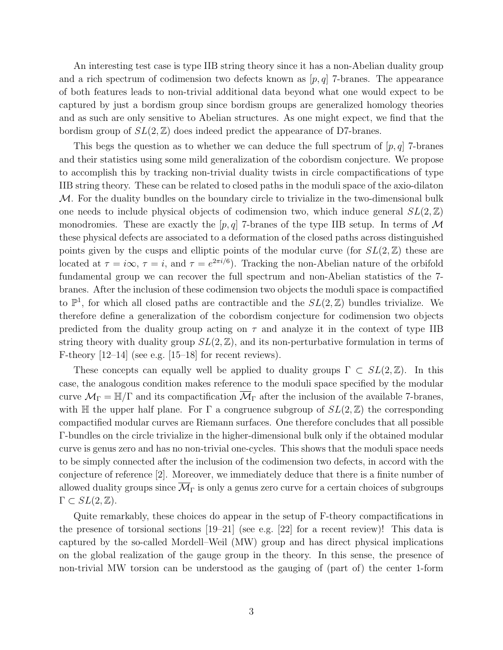An interesting test case is type IIB string theory since it has a non-Abelian duality group and a rich spectrum of codimension two defects known as  $[p, q]$  7-branes. The appearance of both features leads to non-trivial additional data beyond what one would expect to be captured by just a bordism group since bordism groups are generalized homology theories and as such are only sensitive to Abelian structures. As one might expect, we find that the bordism group of  $SL(2, \mathbb{Z})$  does indeed predict the appearance of D7-branes.

This begs the question as to whether we can deduce the full spectrum of  $[p, q]$  7-branes and their statistics using some mild generalization of the cobordism conjecture. We propose to accomplish this by tracking non-trivial duality twists in circle compactifications of type IIB string theory. These can be related to closed paths in the moduli space of the axio-dilaton  $M$ . For the duality bundles on the boundary circle to trivialize in the two-dimensional bulk one needs to include physical objects of codimension two, which induce general  $SL(2, \mathbb{Z})$ monodromies. These are exactly the  $[p, q]$  7-branes of the type IIB setup. In terms of M these physical defects are associated to a deformation of the closed paths across distinguished points given by the cusps and elliptic points of the modular curve (for  $SL(2, \mathbb{Z})$  these are located at  $\tau = i\infty$ ,  $\tau = i$ , and  $\tau = e^{2\pi i/6}$ ). Tracking the non-Abelian nature of the orbifold fundamental group we can recover the full spectrum and non-Abelian statistics of the 7 branes. After the inclusion of these codimension two objects the moduli space is compactified to  $\mathbb{P}^1$ , for which all closed paths are contractible and the  $SL(2,\mathbb{Z})$  bundles trivialize. We therefore define a generalization of the cobordism conjecture for codimension two objects predicted from the duality group acting on  $\tau$  and analyze it in the context of type IIB string theory with duality group  $SL(2, \mathbb{Z})$ , and its non-perturbative formulation in terms of F-theory  $[12-14]$  (see e.g.  $[15-18]$  $[15-18]$  for recent reviews).

These concepts can equally well be applied to duality groups  $\Gamma \subset SL(2,\mathbb{Z})$ . In this case, the analogous condition makes reference to the moduli space specified by the modular curve  $\mathcal{M}_{\Gamma} = \mathbb{H}/\Gamma$  and its compactification  $\overline{\mathcal{M}}_{\Gamma}$  after the inclusion of the available 7-branes, with H the upper half plane. For  $\Gamma$  a congruence subgroup of  $SL(2,\mathbb{Z})$  the corresponding compactified modular curves are Riemann surfaces. One therefore concludes that all possible Γ-bundles on the circle trivialize in the higher-dimensional bulk only if the obtained modular curve is genus zero and has no non-trivial one-cycles. This shows that the moduli space needs to be simply connected after the inclusion of the codimension two defects, in accord with the conjecture of reference [\[2\]](#page-21-1). Moreover, we immediately deduce that there is a finite number of allowed duality groups since  $\overline{\mathcal{M}}_{\Gamma}$  is only a genus zero curve for a certain choices of subgroups  $\Gamma \subset SL(2,\mathbb{Z}).$ 

Quite remarkably, these choices do appear in the setup of F-theory compactifications in the presence of torsional sections  $[19–21]$  $[19–21]$  (see e.g.  $[22]$  for a recent review)! This data is captured by the so-called Mordell–Weil (MW) group and has direct physical implications on the global realization of the gauge group in the theory. In this sense, the presence of non-trivial MW torsion can be understood as the gauging of (part of) the center 1-form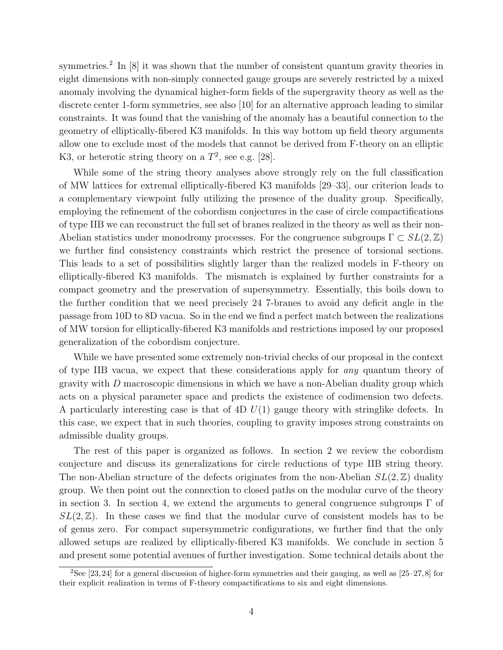symmetries.<sup>[2](#page-4-0)</sup> In [\[8\]](#page-21-7) it was shown that the number of consistent quantum gravity theories in eight dimensions with non-simply connected gauge groups are severely restricted by a mixed anomaly involving the dynamical higher-form fields of the supergravity theory as well as the discrete center 1-form symmetries, see also [\[10\]](#page-21-8) for an alternative approach leading to similar constraints. It was found that the vanishing of the anomaly has a beautiful connection to the geometry of elliptically-fibered K3 manifolds. In this way bottom up field theory arguments allow one to exclude most of the models that cannot be derived from F-theory on an elliptic K3, or heterotic string theory on a  $T^2$ , see e.g. [\[28\]](#page-22-6).

While some of the string theory analyses above strongly rely on the full classification of MW lattices for extremal elliptically-fibered K3 manifolds [\[29](#page-23-0)[–33\]](#page-23-1), our criterion leads to a complementary viewpoint fully utilizing the presence of the duality group. Specifically, employing the refinement of the cobordism conjectures in the case of circle compactifications of type IIB we can reconstruct the full set of branes realized in the theory as well as their non-Abelian statistics under monodromy processes. For the congruence subgroups  $\Gamma \subset SL(2,\mathbb{Z})$ we further find consistency constraints which restrict the presence of torsional sections. This leads to a set of possibilities slightly larger than the realized models in F-theory on elliptically-fibered K3 manifolds. The mismatch is explained by further constraints for a compact geometry and the preservation of supersymmetry. Essentially, this boils down to the further condition that we need precisely 24 7-branes to avoid any deficit angle in the passage from 10D to 8D vacua. So in the end we find a perfect match between the realizations of MW torsion for elliptically-fibered K3 manifolds and restrictions imposed by our proposed generalization of the cobordism conjecture.

While we have presented some extremely non-trivial checks of our proposal in the context of type IIB vacua, we expect that these considerations apply for any quantum theory of gravity with  $D$  macroscopic dimensions in which we have a non-Abelian duality group which acts on a physical parameter space and predicts the existence of codimension two defects. A particularly interesting case is that of  $4D U(1)$  gauge theory with stringlike defects. In this case, we expect that in such theories, coupling to gravity imposes strong constraints on admissible duality groups.

The rest of this paper is organized as follows. In section [2](#page-5-0) we review the cobordism conjecture and discuss its generalizations for circle reductions of type IIB string theory. The non-Abelian structure of the defects originates from the non-Abelian  $SL(2, \mathbb{Z})$  duality group. We then point out the connection to closed paths on the modular curve of the theory in section [3.](#page-8-0) In section [4,](#page-13-0) we extend the arguments to general congruence subgroups  $\Gamma$  of  $SL(2,\mathbb{Z})$ . In these cases we find that the modular curve of consistent models has to be of genus zero. For compact supersymmetric configurations, we further find that the only allowed setups are realized by elliptically-fibered K3 manifolds. We conclude in section [5](#page-16-0) and present some potential avenues of further investigation. Some technical details about the

<span id="page-4-0"></span><sup>&</sup>lt;sup>2</sup>See [\[23,](#page-22-7)[24\]](#page-22-8) for a general discussion of higher-form symmetries and their gauging, as well as [\[25–](#page-22-9)[27,](#page-22-10)[8\]](#page-21-7) for their explicit realization in terms of F-theory compactifications to six and eight dimensions.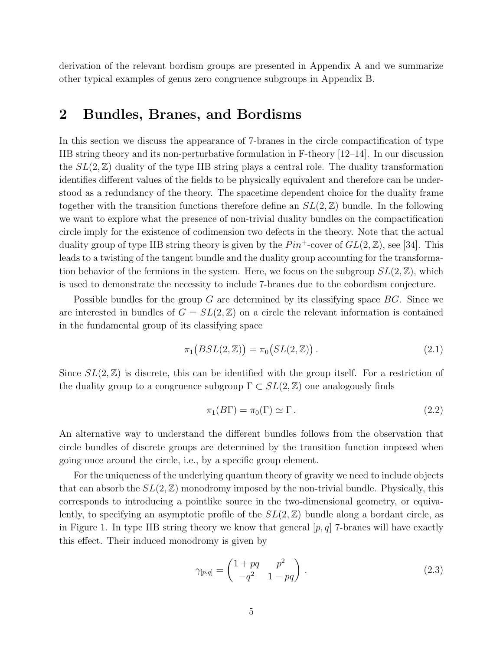derivation of the relevant bordism groups are presented in Appendix [A](#page-18-0) and we summarize other typical examples of genus zero congruence subgroups in Appendix [B.](#page-20-0)

#### <span id="page-5-0"></span>2 Bundles, Branes, and Bordisms

In this section we discuss the appearance of 7-branes in the circle compactification of type IIB string theory and its non-perturbative formulation in F-theory [\[12–](#page-21-11)[14\]](#page-22-0). In our discussion the  $SL(2,\mathbb{Z})$  duality of the type IIB string plays a central role. The duality transformation identifies different values of the fields to be physically equivalent and therefore can be understood as a redundancy of the theory. The spacetime dependent choice for the duality frame together with the transition functions therefore define an  $SL(2, \mathbb{Z})$  bundle. In the following we want to explore what the presence of non-trivial duality bundles on the compactification circle imply for the existence of codimension two defects in the theory. Note that the actual duality group of type IIB string theory is given by the  $Pin^+$ -cover of  $GL(2,\mathbb{Z})$ , see [\[34\]](#page-23-2). This leads to a twisting of the tangent bundle and the duality group accounting for the transformation behavior of the fermions in the system. Here, we focus on the subgroup  $SL(2, \mathbb{Z})$ , which is used to demonstrate the necessity to include 7-branes due to the cobordism conjecture.

Possible bundles for the group G are determined by its classifying space  $BG$ . Since we are interested in bundles of  $G = SL(2, \mathbb{Z})$  on a circle the relevant information is contained in the fundamental group of its classifying space

$$
\pi_1\big( BSL(2,\mathbb{Z}) \big) = \pi_0\big( SL(2,\mathbb{Z}) \big) \,. \tag{2.1}
$$

Since  $SL(2,\mathbb{Z})$  is discrete, this can be identified with the group itself. For a restriction of the duality group to a congruence subgroup  $\Gamma \subset SL(2, \mathbb{Z})$  one analogously finds

$$
\pi_1(B\Gamma) = \pi_0(\Gamma) \simeq \Gamma. \tag{2.2}
$$

An alternative way to understand the different bundles follows from the observation that circle bundles of discrete groups are determined by the transition function imposed when going once around the circle, i.e., by a specific group element.

For the uniqueness of the underlying quantum theory of gravity we need to include objects that can absorb the  $SL(2,\mathbb{Z})$  monodromy imposed by the non-trivial bundle. Physically, this corresponds to introducing a pointlike source in the two-dimensional geometry, or equivalently, to specifying an asymptotic profile of the  $SL(2,\mathbb{Z})$  bundle along a bordant circle, as in Figure [1.](#page-6-0) In type IIB string theory we know that general  $[p, q]$  7-branes will have exactly this effect. Their induced monodromy is given by

$$
\gamma_{[p,q]} = \begin{pmatrix} 1 + pq & p^2 \\ -q^2 & 1 - pq \end{pmatrix} . \tag{2.3}
$$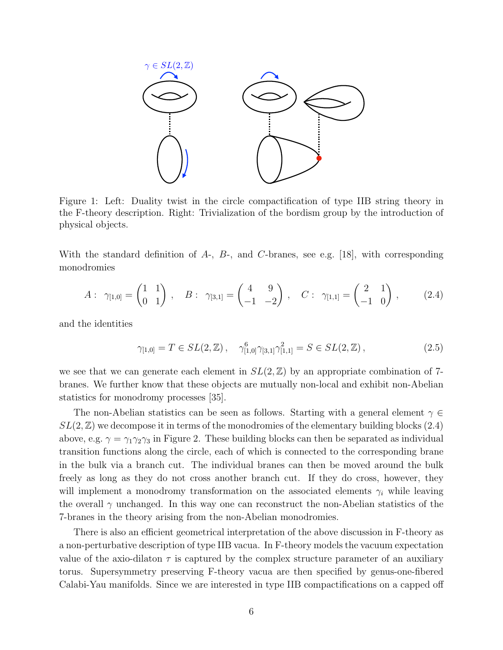<span id="page-6-0"></span>

Figure 1: Left: Duality twist in the circle compactification of type IIB string theory in the F-theory description. Right: Trivialization of the bordism group by the introduction of physical objects.

With the standard definition of  $A_7$ ,  $B_7$ , and C-branes, see e.g. [\[18\]](#page-22-2), with corresponding monodromies

$$
A: \ \gamma_{[1,0]} = \begin{pmatrix} 1 & 1 \\ 0 & 1 \end{pmatrix}, \quad B: \ \gamma_{[3,1]} = \begin{pmatrix} 4 & 9 \\ -1 & -2 \end{pmatrix}, \quad C: \ \gamma_{[1,1]} = \begin{pmatrix} 2 & 1 \\ -1 & 0 \end{pmatrix}, \tag{2.4}
$$

and the identities

<span id="page-6-1"></span>
$$
\gamma_{[1,0]} = T \in SL(2,\mathbb{Z}), \quad \gamma_{[1,0]}^6 \gamma_{[3,1]} \gamma_{[1,1]}^2 = S \in SL(2,\mathbb{Z}), \tag{2.5}
$$

we see that we can generate each element in  $SL(2, \mathbb{Z})$  by an appropriate combination of 7branes. We further know that these objects are mutually non-local and exhibit non-Abelian statistics for monodromy processes [\[35\]](#page-23-3).

The non-Abelian statistics can be seen as follows. Starting with a general element  $\gamma \in$  $SL(2,\mathbb{Z})$  we decompose it in terms of the monodromies of the elementary building blocks [\(2.4\)](#page-6-1) above, e.g.  $\gamma = \gamma_1 \gamma_2 \gamma_3$  in Figure [2.](#page-7-0) These building blocks can then be separated as individual transition functions along the circle, each of which is connected to the corresponding brane in the bulk via a branch cut. The individual branes can then be moved around the bulk freely as long as they do not cross another branch cut. If they do cross, however, they will implement a monodromy transformation on the associated elements  $\gamma_i$  while leaving the overall  $\gamma$  unchanged. In this way one can reconstruct the non-Abelian statistics of the 7-branes in the theory arising from the non-Abelian monodromies.

There is also an efficient geometrical interpretation of the above discussion in F-theory as a non-perturbative description of type IIB vacua. In F-theory models the vacuum expectation value of the axio-dilaton  $\tau$  is captured by the complex structure parameter of an auxiliary torus. Supersymmetry preserving F-theory vacua are then specified by genus-one-fibered Calabi-Yau manifolds. Since we are interested in type IIB compactifications on a capped off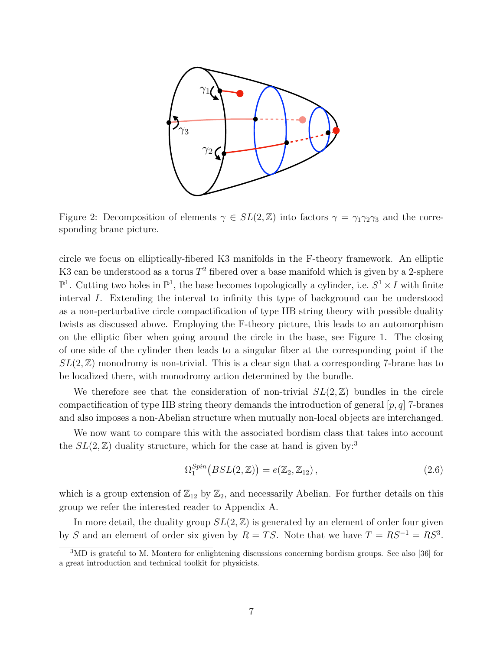<span id="page-7-0"></span>

Figure 2: Decomposition of elements  $\gamma \in SL(2,\mathbb{Z})$  into factors  $\gamma = \gamma_1 \gamma_2 \gamma_3$  and the corresponding brane picture.

circle we focus on elliptically-fibered K3 manifolds in the F-theory framework. An elliptic K3 can be understood as a torus  $T^2$  fibered over a base manifold which is given by a 2-sphere  $\mathbb{P}^1$ . Cutting two holes in  $\mathbb{P}^1$ , the base becomes topologically a cylinder, i.e.  $S^1 \times I$  with finite interval I. Extending the interval to infinity this type of background can be understood as a non-perturbative circle compactification of type IIB string theory with possible duality twists as discussed above. Employing the F-theory picture, this leads to an automorphism on the elliptic fiber when going around the circle in the base, see Figure [1.](#page-6-0) The closing of one side of the cylinder then leads to a singular fiber at the corresponding point if the  $SL(2,\mathbb{Z})$  monodromy is non-trivial. This is a clear sign that a corresponding 7-brane has to be localized there, with monodromy action determined by the bundle.

We therefore see that the consideration of non-trivial  $SL(2, \mathbb{Z})$  bundles in the circle compactification of type IIB string theory demands the introduction of general  $[p, q]$  7-branes and also imposes a non-Abelian structure when mutually non-local objects are interchanged.

We now want to compare this with the associated bordism class that takes into account the  $SL(2, \mathbb{Z})$  duality structure, which for the case at hand is given by:<sup>[3](#page-7-1)</sup>

<span id="page-7-2"></span>
$$
\Omega_1^{Spin}(BSL(2,\mathbb{Z})) = e(\mathbb{Z}_2, \mathbb{Z}_{12}), \qquad (2.6)
$$

which is a group extension of  $\mathbb{Z}_{12}$  by  $\mathbb{Z}_2$ , and necessarily Abelian. For further details on this group we refer the interested reader to Appendix [A.](#page-18-0)

In more detail, the duality group  $SL(2,\mathbb{Z})$  is generated by an element of order four given by S and an element of order six given by  $R = TS$ . Note that we have  $T = RS^{-1} = RS^3$ .

<span id="page-7-1"></span><sup>3</sup>MD is grateful to M. Montero for enlightening discussions concerning bordism groups. See also [\[36\]](#page-23-4) for a great introduction and technical toolkit for physicists.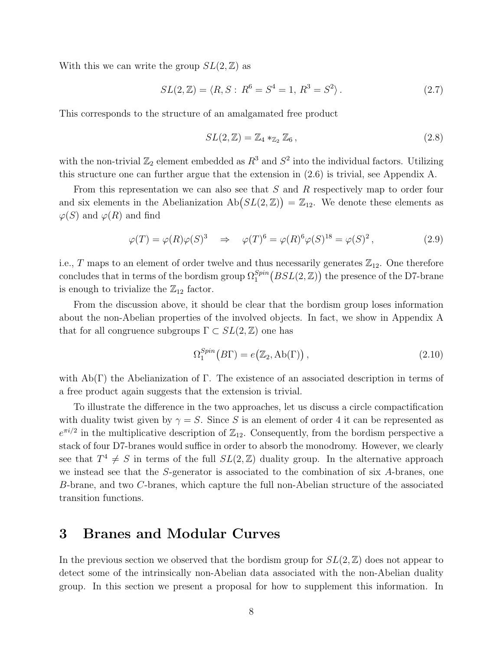With this we can write the group  $SL(2, \mathbb{Z})$  as

$$
SL(2,\mathbb{Z}) = \langle R, S : R^6 = S^4 = 1, R^3 = S^2 \rangle.
$$
 (2.7)

This corresponds to the structure of an amalgamated free product

$$
SL(2,\mathbb{Z}) = \mathbb{Z}_4 *_{\mathbb{Z}_2} \mathbb{Z}_6, \qquad (2.8)
$$

with the non-trivial  $\mathbb{Z}_2$  element embedded as  $R^3$  and  $S^2$  into the individual factors. Utilizing this structure one can further argue that the extension in [\(2.6\)](#page-7-2) is trivial, see Appendix [A.](#page-18-0)

From this representation we can also see that S and R respectively map to order four and six elements in the Abelianization  $\text{Ab}(SL(2,\mathbb{Z})) = \mathbb{Z}_{12}$ . We denote these elements as  $\varphi(S)$  and  $\varphi(R)$  and find

$$
\varphi(T) = \varphi(R)\varphi(S)^3 \quad \Rightarrow \quad \varphi(T)^6 = \varphi(R)^6 \varphi(S)^{18} = \varphi(S)^2, \tag{2.9}
$$

i.e.,  $T$  maps to an element of order twelve and thus necessarily generates  $\mathbb{Z}_{12}$ . One therefore concludes that in terms of the bordism group  $\Omega_1^{Spin}(BSL(2,\mathbb{Z}))$  the presence of the D7-brane is enough to trivialize the  $\mathbb{Z}_{12}$  factor.

From the discussion above, it should be clear that the bordism group loses information about the non-Abelian properties of the involved objects. In fact, we show in Appendix [A](#page-18-0) that for all congruence subgroups  $\Gamma \subset SL(2,\mathbb{Z})$  one has

$$
\Omega_1^{Spin}(B\Gamma) = e(\mathbb{Z}_2, \text{Ab}(\Gamma)),\tag{2.10}
$$

with  $Ab(\Gamma)$  the Abelianization of  $\Gamma$ . The existence of an associated description in terms of a free product again suggests that the extension is trivial.

To illustrate the difference in the two approaches, let us discuss a circle compactification with duality twist given by  $\gamma = S$ . Since S is an element of order 4 it can be represented as  $e^{\pi i/2}$  in the multiplicative description of  $\mathbb{Z}_{12}$ . Consequently, from the bordism perspective a stack of four D7-branes would suffice in order to absorb the monodromy. However, we clearly see that  $T^4 \neq S$  in terms of the full  $SL(2, \mathbb{Z})$  duality group. In the alternative approach we instead see that the S-generator is associated to the combination of six A-branes, one B-brane, and two C-branes, which capture the full non-Abelian structure of the associated transition functions.

#### <span id="page-8-0"></span>3 Branes and Modular Curves

In the previous section we observed that the bordism group for  $SL(2,\mathbb{Z})$  does not appear to detect some of the intrinsically non-Abelian data associated with the non-Abelian duality group. In this section we present a proposal for how to supplement this information. In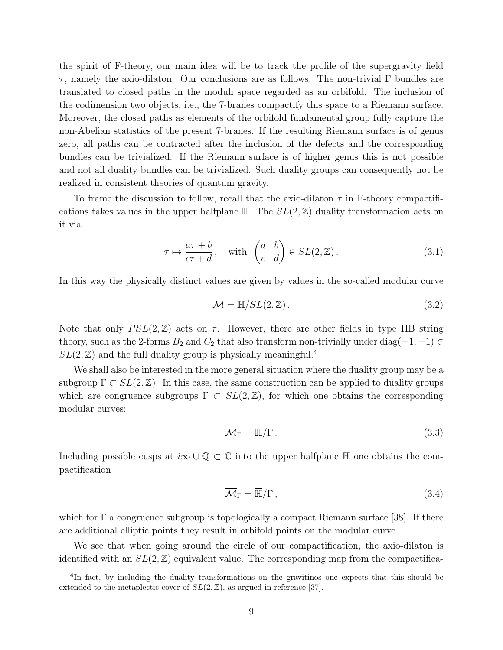the spirit of F-theory, our main idea will be to track the profile of the supergravity field  $τ$ , namely the axio-dilaton. Our conclusions are as follows. The non-trivial Γ bundles are translated to closed paths in the moduli space regarded as an orbifold. The inclusion of the codimension two objects, i.e., the 7-branes compactify this space to a Riemann surface. Moreover, the closed paths as elements of the orbifold fundamental group fully capture the non-Abelian statistics of the present 7-branes. If the resulting Riemann surface is of genus zero, all paths can be contracted after the inclusion of the defects and the corresponding bundles can be trivialized. If the Riemann surface is of higher genus this is not possible and not all duality bundles can be trivialized. Such duality groups can consequently not be realized in consistent theories of quantum gravity.

To frame the discussion to follow, recall that the axio-dilaton  $\tau$  in F-theory compactifications takes values in the upper halfplane  $\mathbb{H}$ . The  $SL(2,\mathbb{Z})$  duality transformation acts on it via

$$
\tau \mapsto \frac{a\tau + b}{c\tau + d}, \quad \text{with} \quad \begin{pmatrix} a & b \\ c & d \end{pmatrix} \in SL(2, \mathbb{Z}). \tag{3.1}
$$

In this way the physically distinct values are given by values in the so-called modular curve

$$
\mathcal{M} = \mathbb{H}/SL(2,\mathbb{Z}).\tag{3.2}
$$

Note that only  $PSL(2, \mathbb{Z})$  acts on  $\tau$ . However, there are other fields in type IIB string theory, such as the 2-forms  $B_2$  and  $C_2$  that also transform non-trivially under diag( $-1, -1$ ) ∈  $SL(2, \mathbb{Z})$  and the full duality group is physically meaningful.<sup>[4](#page-9-0)</sup>

We shall also be interested in the more general situation where the duality group may be a subgroup  $\Gamma \subset SL(2,\mathbb{Z})$ . In this case, the same construction can be applied to duality groups which are congruence subgroups  $\Gamma \subset SL(2, \mathbb{Z})$ , for which one obtains the corresponding modular curves:

$$
\mathcal{M}_{\Gamma} = \mathbb{H}/\Gamma \,. \tag{3.3}
$$

Including possible cusps at  $i\infty \cup \mathbb{Q} \subset \mathbb{C}$  into the upper halfplane  $\overline{\mathbb{H}}$  one obtains the compactification

$$
\overline{\mathcal{M}}_{\Gamma} = \overline{\mathbb{H}}/\Gamma, \qquad (3.4)
$$

which for  $\Gamma$  a congruence subgroup is topologically a compact Riemann surface [\[38\]](#page-23-5). If there are additional elliptic points they result in orbifold points on the modular curve.

We see that when going around the circle of our compactification, the axio-dilaton is identified with an  $SL(2, \mathbb{Z})$  equivalent value. The corresponding map from the compactifica-

<span id="page-9-0"></span><sup>&</sup>lt;sup>4</sup>In fact, by including the duality transformations on the gravitinos one expects that this should be extended to the metaplectic cover of  $SL(2, \mathbb{Z})$ , as argued in reference [\[37\]](#page-23-6).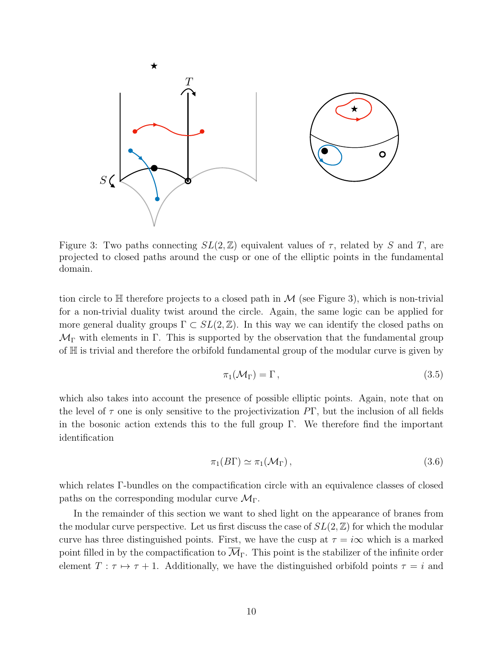<span id="page-10-0"></span>

Figure 3: Two paths connecting  $SL(2, \mathbb{Z})$  equivalent values of  $\tau$ , related by S and T, are projected to closed paths around the cusp or one of the elliptic points in the fundamental domain.

tion circle to  $\mathbb H$  therefore projects to a closed path in M (see Figure [3\)](#page-10-0), which is non-trivial for a non-trivial duality twist around the circle. Again, the same logic can be applied for more general duality groups  $\Gamma \subset SL(2,\mathbb{Z})$ . In this way we can identify the closed paths on  $\mathcal{M}_{\Gamma}$  with elements in  $\Gamma$ . This is supported by the observation that the fundamental group of H is trivial and therefore the orbifold fundamental group of the modular curve is given by

$$
\pi_1(\mathcal{M}_\Gamma) = \Gamma \,, \tag{3.5}
$$

which also takes into account the presence of possible elliptic points. Again, note that on the level of  $\tau$  one is only sensitive to the projectivization  $P\Gamma$ , but the inclusion of all fields in the bosonic action extends this to the full group  $\Gamma$ . We therefore find the important identification

$$
\pi_1(B\Gamma) \simeq \pi_1(\mathcal{M}_{\Gamma}), \qquad (3.6)
$$

which relates Γ-bundles on the compactification circle with an equivalence classes of closed paths on the corresponding modular curve  $\mathcal{M}_{\Gamma}$ .

In the remainder of this section we want to shed light on the appearance of branes from the modular curve perspective. Let us first discuss the case of  $SL(2, \mathbb{Z})$  for which the modular curve has three distinguished points. First, we have the cusp at  $\tau = i\infty$  which is a marked point filled in by the compactification to  $\overline{\mathcal{M}}_{\Gamma}$ . This point is the stabilizer of the infinite order element  $T : \tau \mapsto \tau + 1$ . Additionally, we have the distinguished orbifold points  $\tau = i$  and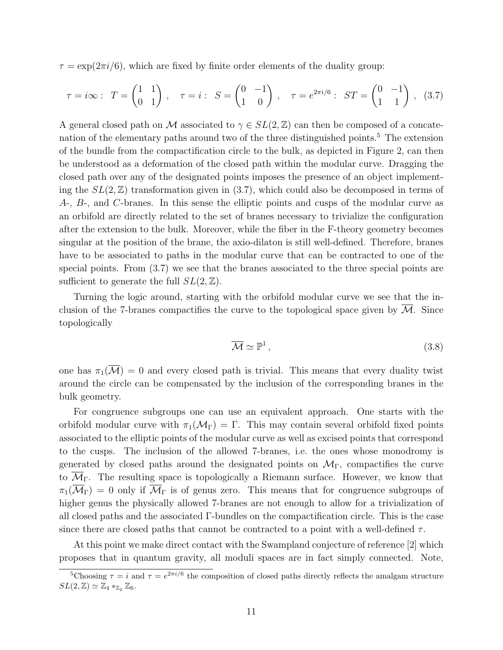$\tau = \exp(2\pi i/6)$ , which are fixed by finite order elements of the duality group:

$$
\tau = i\infty: \ T = \begin{pmatrix} 1 & 1 \\ 0 & 1 \end{pmatrix}, \quad \tau = i: \ S = \begin{pmatrix} 0 & -1 \\ 1 & 0 \end{pmatrix}, \quad \tau = e^{2\pi i/6}: \ ST = \begin{pmatrix} 0 & -1 \\ 1 & 1 \end{pmatrix}, \ (3.7)
$$

A general closed path on M associated to  $\gamma \in SL(2,\mathbb{Z})$  can then be composed of a concatenation of the elementary paths around two of the three distinguished points.[5](#page-11-0) The extension of the bundle from the compactification circle to the bulk, as depicted in Figure [2,](#page-7-0) can then be understood as a deformation of the closed path within the modular curve. Dragging the closed path over any of the designated points imposes the presence of an object implementing the  $SL(2,\mathbb{Z})$  transformation given in [\(3.7\)](#page-11-1), which could also be decomposed in terms of A-, B-, and C-branes. In this sense the elliptic points and cusps of the modular curve as an orbifold are directly related to the set of branes necessary to trivialize the configuration after the extension to the bulk. Moreover, while the fiber in the F-theory geometry becomes singular at the position of the brane, the axio-dilaton is still well-defined. Therefore, branes have to be associated to paths in the modular curve that can be contracted to one of the special points. From [\(3.7\)](#page-11-1) we see that the branes associated to the three special points are sufficient to generate the full  $SL(2, \mathbb{Z})$ .

Turning the logic around, starting with the orbifold modular curve we see that the inclusion of the 7-branes compactifies the curve to the topological space given by  $\mathcal{M}$ . Since topologically

<span id="page-11-1"></span>
$$
\overline{\mathcal{M}} \simeq \mathbb{P}^1 \,, \tag{3.8}
$$

one has  $\pi_1(\overline{\mathcal{M}}) = 0$  and every closed path is trivial. This means that every duality twist around the circle can be compensated by the inclusion of the corresponding branes in the bulk geometry.

For congruence subgroups one can use an equivalent approach. One starts with the orbifold modular curve with  $\pi_1(\mathcal{M}_{\Gamma}) = \Gamma$ . This may contain several orbifold fixed points associated to the elliptic points of the modular curve as well as excised points that correspond to the cusps. The inclusion of the allowed 7-branes, i.e. the ones whose monodromy is generated by closed paths around the designated points on  $\mathcal{M}_{\Gamma}$ , compactifies the curve to  $\overline{\mathcal{M}}_{\Gamma}$ . The resulting space is topologically a Riemann surface. However, we know that  $\pi_1(\overline{\mathcal{M}}_\Gamma) = 0$  only if  $\overline{\mathcal{M}}_\Gamma$  is of genus zero. This means that for congruence subgroups of higher genus the physically allowed 7-branes are not enough to allow for a trivialization of all closed paths and the associated  $\Gamma$ -bundles on the compactification circle. This is the case since there are closed paths that cannot be contracted to a point with a well-defined  $\tau$ .

At this point we make direct contact with the Swampland conjecture of reference [\[2\]](#page-21-1) which proposes that in quantum gravity, all moduli spaces are in fact simply connected. Note,

<span id="page-11-0"></span><sup>&</sup>lt;sup>5</sup>Choosing  $\tau = i$  and  $\tau = e^{2\pi i/6}$  the composition of closed paths directly reflects the amalgam structure  $SL(2,\mathbb{Z}) \simeq \mathbb{Z}_4 *_{\mathbb{Z}_2} \mathbb{Z}_6.$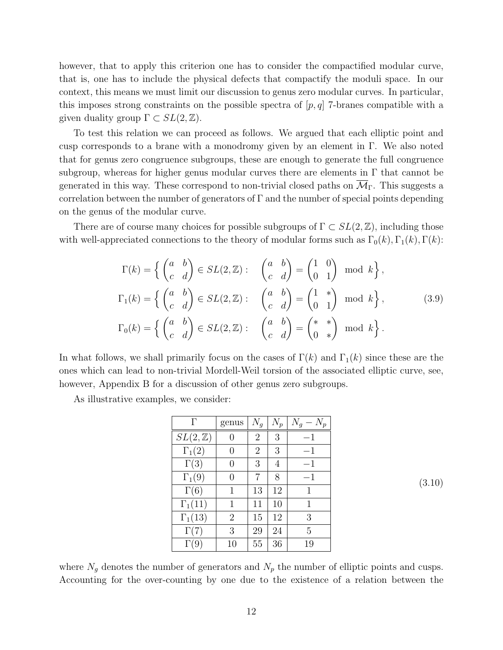however, that to apply this criterion one has to consider the compactified modular curve, that is, one has to include the physical defects that compactify the moduli space. In our context, this means we must limit our discussion to genus zero modular curves. In particular, this imposes strong constraints on the possible spectra of  $[p, q]$  7-branes compatible with a given duality group  $\Gamma \subset SL(2,\mathbb{Z})$ .

To test this relation we can proceed as follows. We argued that each elliptic point and cusp corresponds to a brane with a monodromy given by an element in  $\Gamma$ . We also noted that for genus zero congruence subgroups, these are enough to generate the full congruence subgroup, whereas for higher genus modular curves there are elements in  $\Gamma$  that cannot be generated in this way. These correspond to non-trivial closed paths on  $\overline{\mathcal{M}}_{\Gamma}$ . This suggests a correlation between the number of generators of  $\Gamma$  and the number of special points depending on the genus of the modular curve.

There are of course many choices for possible subgroups of  $\Gamma \subset SL(2,\mathbb{Z})$ , including those with well-appreciated connections to the theory of modular forms such as  $\Gamma_0(k)$ ,  $\Gamma_1(k)$ ,  $\Gamma(k)$ :

$$
\Gamma(k) = \left\{ \begin{pmatrix} a & b \\ c & d \end{pmatrix} \in SL(2, \mathbb{Z}) : \begin{pmatrix} a & b \\ c & d \end{pmatrix} = \begin{pmatrix} 1 & 0 \\ 0 & 1 \end{pmatrix} \mod k \right\},
$$
  
\n
$$
\Gamma_1(k) = \left\{ \begin{pmatrix} a & b \\ c & d \end{pmatrix} \in SL(2, \mathbb{Z}) : \begin{pmatrix} a & b \\ c & d \end{pmatrix} = \begin{pmatrix} 1 & * \\ 0 & 1 \end{pmatrix} \mod k \right\},
$$
  
\n
$$
\Gamma_0(k) = \left\{ \begin{pmatrix} a & b \\ c & d \end{pmatrix} \in SL(2, \mathbb{Z}) : \begin{pmatrix} a & b \\ c & d \end{pmatrix} = \begin{pmatrix} * & * \\ 0 & * \end{pmatrix} \mod k \right\}.
$$
  
\n(3.9)

<span id="page-12-0"></span>In what follows, we shall primarily focus on the cases of  $\Gamma(k)$  and  $\Gamma_1(k)$  since these are the ones which can lead to non-trivial Mordell-Weil torsion of the associated elliptic curve, see, however, Appendix [B](#page-20-0) for a discussion of other genus zero subgroups.

As illustrative examples, we consider:

| Γ                  | genus            | ${\cal N}_g$   | $\mathcal{N}_p$ | ${\cal N}_g$<br>$- N_n$ |  |
|--------------------|------------------|----------------|-----------------|-------------------------|--|
| $SL(2,\mathbb{Z})$ |                  | $\overline{2}$ | 3               | $-1$                    |  |
| $\Gamma_1(2)$      | $\left( \right)$ | $\overline{2}$ | 3               | $-1$                    |  |
| $\Gamma(3)$        | $\left( \right)$ | 3              | 4               | $-1$                    |  |
| $\Gamma_1(9)$      | 0                | 7              | 8               | -1                      |  |
| $\Gamma(6)$        | 1                | 13             | 12              | 1                       |  |
| $\Gamma_1(11)$     | 1                | 11             | 10              | 1                       |  |
| $\Gamma_1(13)$     | 2                | 15             | 12              | 3                       |  |
| $\Gamma(7)$        | 3                | 29             | 24              | 5                       |  |
| $\Gamma(9)$        | 10               | 55             | 36              | 19                      |  |

(3.10)

where  $N_g$  denotes the number of generators and  $N_p$  the number of elliptic points and cusps. Accounting for the over-counting by one due to the existence of a relation between the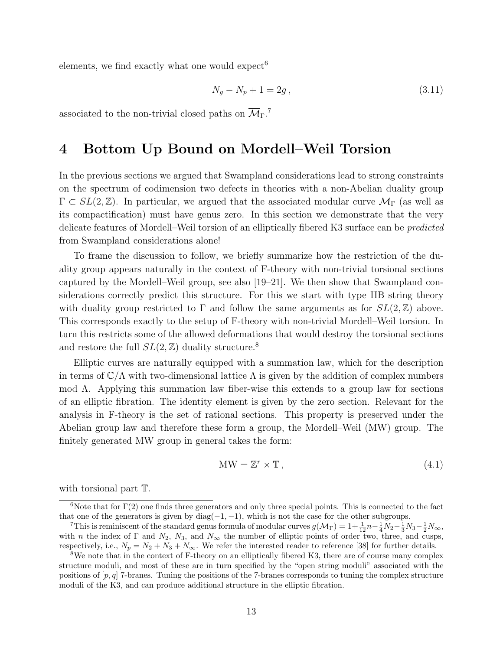elements, we find exactly what one would expect<sup>[6](#page-13-1)</sup>

$$
N_g - N_p + 1 = 2g \,, \tag{3.11}
$$

associated to the non-trivial closed paths on  $\overline{\mathcal{M}}_{\Gamma}$ <sup>[7](#page-13-2)</sup>.

#### <span id="page-13-0"></span>4 Bottom Up Bound on Mordell–Weil Torsion

In the previous sections we argued that Swampland considerations lead to strong constraints on the spectrum of codimension two defects in theories with a non-Abelian duality group  $\Gamma \subset SL(2,\mathbb{Z})$ . In particular, we argued that the associated modular curve  $\mathcal{M}_{\Gamma}$  (as well as its compactification) must have genus zero. In this section we demonstrate that the very delicate features of Mordell–Weil torsion of an elliptically fibered K3 surface can be predicted from Swampland considerations alone!

To frame the discussion to follow, we briefly summarize how the restriction of the duality group appears naturally in the context of F-theory with non-trivial torsional sections captured by the Mordell–Weil group, see also [\[19–](#page-22-3)[21\]](#page-22-4). We then show that Swampland considerations correctly predict this structure. For this we start with type IIB string theory with duality group restricted to  $\Gamma$  and follow the same arguments as for  $SL(2,\mathbb{Z})$  above. This corresponds exactly to the setup of F-theory with non-trivial Mordell–Weil torsion. In turn this restricts some of the allowed deformations that would destroy the torsional sections and restore the full  $SL(2, \mathbb{Z})$  duality structure.<sup>[8](#page-13-3)</sup>

Elliptic curves are naturally equipped with a summation law, which for the description in terms of  $\mathbb{C}/\Lambda$  with two-dimensional lattice  $\Lambda$  is given by the addition of complex numbers mod Λ. Applying this summation law fiber-wise this extends to a group law for sections of an elliptic fibration. The identity element is given by the zero section. Relevant for the analysis in F-theory is the set of rational sections. This property is preserved under the Abelian group law and therefore these form a group, the Mordell–Weil (MW) group. The finitely generated MW group in general takes the form:

$$
MW = \mathbb{Z}^r \times \mathbb{T},\tag{4.1}
$$

with torsional part  $\mathbb T$ .

<span id="page-13-1"></span><sup>&</sup>lt;sup>6</sup>Note that for  $\Gamma(2)$  one finds three generators and only three special points. This is connected to the fact that one of the generators is given by  $diag(-1, -1)$ , which is not the case for the other subgroups.

<span id="page-13-2"></span><sup>&</sup>lt;sup>7</sup>This is reminiscent of the standard genus formula of modular curves  $g(\mathcal{M}_{\Gamma}) = 1 + \frac{1}{12}n - \frac{1}{4}N_2 - \frac{1}{3}N_3 - \frac{1}{2}N_{\infty}$ , with n the index of  $\Gamma$  and  $N_2$ ,  $N_3$ , and  $N_\infty$  the number of elliptic points of order two, three, and cusps, respectively, i.e.,  $N_p = N_2 + N_3 + N_\infty$ . We refer the interested reader to reference [\[38\]](#page-23-5) for further details.

<span id="page-13-3"></span><sup>8</sup>We note that in the context of F-theory on an elliptically fibered K3, there are of course many complex structure moduli, and most of these are in turn specified by the "open string moduli" associated with the positions of  $[p, q]$  7-branes. Tuning the positions of the 7-branes corresponds to tuning the complex structure moduli of the K3, and can produce additional structure in the elliptic fibration.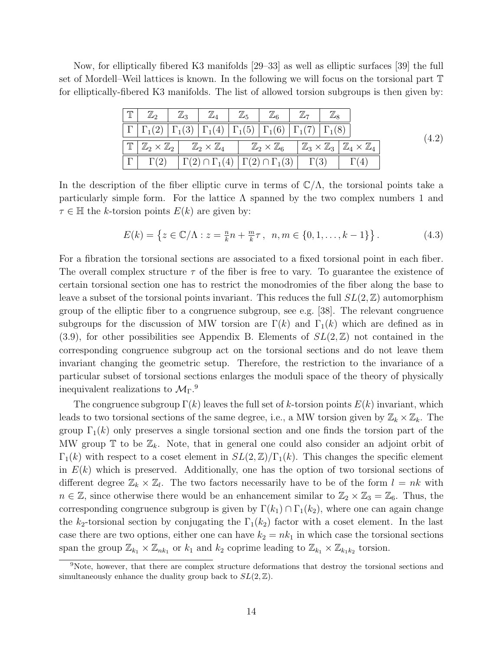Now, for elliptically fibered K3 manifolds [\[29–](#page-23-0)[33\]](#page-23-1) as well as elliptic surfaces [\[39\]](#page-23-7) the full set of Mordell–Weil lattices is known. In the following we will focus on the torsional part T for elliptically-fibered K3 manifolds. The list of allowed torsion subgroups is then given by:

| $ \mathbb{T} $ | $\boxed{\mathbb{Z}_2}$ $\boxed{\mathbb{Z}_3}$ |                                                                                                                 | $\mathbb{Z}_4$ $\mathbb{Z}_5$ $\mathbb{Z}_6$ $\mathbb{Z}_7$ |  |                                                                                                                                                                                                                                          |  |
|----------------|-----------------------------------------------|-----------------------------------------------------------------------------------------------------------------|-------------------------------------------------------------|--|------------------------------------------------------------------------------------------------------------------------------------------------------------------------------------------------------------------------------------------|--|
|                |                                               | $\Gamma_{1}(2)$ $\Gamma_{1}(3)$ $\Gamma_{1}(4)$ $\Gamma_{1}(5)$ $\Gamma_{1}(6)$ $\Gamma_{1}(7)$ $\Gamma_{1}(8)$ |                                                             |  |                                                                                                                                                                                                                                          |  |
|                |                                               |                                                                                                                 |                                                             |  | $\parallel \mathbb{T} \mid \mathbb{Z}_{2} \times \mathbb{Z}_{2} \mid \mathbb{Z}_{2} \times \mathbb{Z}_{4} \mid \mathbb{Z}_{2} \times \mathbb{Z}_{6} \mid \mathbb{Z}_{3} \times \mathbb{Z}_{3} \mid \mathbb{Z}_{4} \times \mathbb{Z}_{4}$ |  |
|                |                                               | $ \Gamma  \Gamma(2)  \Gamma(2) \cap \Gamma_1(4)   \Gamma(2) \cap \Gamma_1(3)  \Gamma(3)$                        |                                                             |  |                                                                                                                                                                                                                                          |  |

<span id="page-14-1"></span>In the description of the fiber elliptic curve in terms of  $\mathbb{C}/\Lambda$ , the torsional points take a particularly simple form. For the lattice  $\Lambda$  spanned by the two complex numbers 1 and  $\tau \in \mathbb{H}$  the k-torsion points  $E(k)$  are given by:

$$
E(k) = \left\{ z \in \mathbb{C}/\Lambda : z = \frac{n}{k}n + \frac{m}{k}\tau, \ n, m \in \{0, 1, \dots, k - 1\} \right\}.
$$
 (4.3)

For a fibration the torsional sections are associated to a fixed torsional point in each fiber. The overall complex structure  $\tau$  of the fiber is free to vary. To guarantee the existence of certain torsional section one has to restrict the monodromies of the fiber along the base to leave a subset of the torsional points invariant. This reduces the full  $SL(2, \mathbb{Z})$  automorphism group of the elliptic fiber to a congruence subgroup, see e.g. [\[38\]](#page-23-5). The relevant congruence subgroups for the discussion of MW torsion are  $\Gamma(k)$  and  $\Gamma_1(k)$  which are defined as in  $(3.9)$ , for other possibilities see Appendix [B.](#page-20-0) Elements of  $SL(2,\mathbb{Z})$  not contained in the corresponding congruence subgroup act on the torsional sections and do not leave them invariant changing the geometric setup. Therefore, the restriction to the invariance of a particular subset of torsional sections enlarges the moduli space of the theory of physically inequivalent realizations to  $\mathcal{M}_{\Gamma}$ .<sup>[9](#page-14-0)</sup>

The congruence subgroup  $\Gamma(k)$  leaves the full set of k-torsion points  $E(k)$  invariant, which leads to two torsional sections of the same degree, i.e., a MW torsion given by  $\mathbb{Z}_k \times \mathbb{Z}_k$ . The group  $\Gamma_1(k)$  only preserves a single torsional section and one finds the torsion part of the MW group  $\mathbb T$  to be  $\mathbb Z_k$ . Note, that in general one could also consider an adjoint orbit of  $\Gamma_1(k)$  with respect to a coset element in  $SL(2,\mathbb{Z})/\Gamma_1(k)$ . This changes the specific element in  $E(k)$  which is preserved. Additionally, one has the option of two torsional sections of different degree  $\mathbb{Z}_k \times \mathbb{Z}_l$ . The two factors necessarily have to be of the form  $l = nk$  with  $n \in \mathbb{Z}$ , since otherwise there would be an enhancement similar to  $\mathbb{Z}_2 \times \mathbb{Z}_3 = \mathbb{Z}_6$ . Thus, the corresponding congruence subgroup is given by  $\Gamma(k_1) \cap \Gamma_1(k_2)$ , where one can again change the  $k_2$ -torsional section by conjugating the  $\Gamma_1(k_2)$  factor with a coset element. In the last case there are two options, either one can have  $k_2 = nk_1$  in which case the torsional sections span the group  $\mathbb{Z}_{k_1} \times \mathbb{Z}_{nk_1}$  or  $k_1$  and  $k_2$  coprime leading to  $\mathbb{Z}_{k_1} \times \mathbb{Z}_{k_1k_2}$  torsion.

<span id="page-14-0"></span><sup>9</sup>Note, however, that there are complex structure deformations that destroy the torsional sections and simultaneously enhance the duality group back to  $SL(2, \mathbb{Z})$ .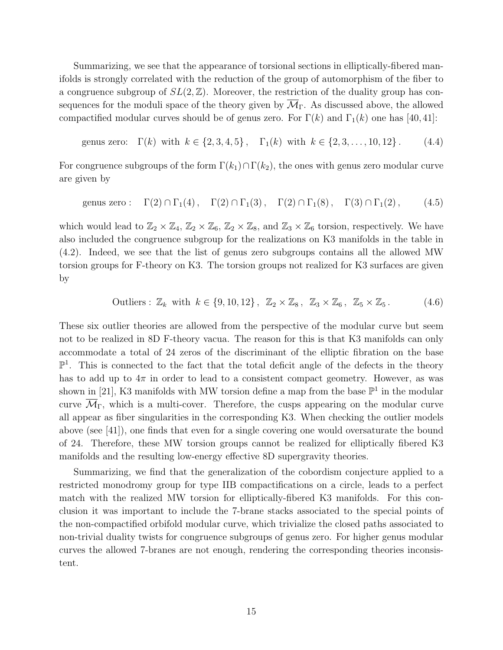Summarizing, we see that the appearance of torsional sections in elliptically-fibered manifolds is strongly correlated with the reduction of the group of automorphism of the fiber to a congruence subgroup of  $SL(2, \mathbb{Z})$ . Moreover, the restriction of the duality group has consequences for the moduli space of the theory given by  $\mathcal{M}_{\Gamma}$ . As discussed above, the allowed compactified modular curves should be of genus zero. For  $\Gamma(k)$  and  $\Gamma_1(k)$  one has [\[40,](#page-23-8) [41\]](#page-23-9):

genus zero: 
$$
\Gamma(k)
$$
 with  $k \in \{2, 3, 4, 5\}$ ,  $\Gamma_1(k)$  with  $k \in \{2, 3, ..., 10, 12\}$ . (4.4)

For congruence subgroups of the form  $\Gamma(k_1) \cap \Gamma(k_2)$ , the ones with genus zero modular curve are given by

$$
\text{genus zero}: \quad \Gamma(2) \cap \Gamma_1(4), \quad \Gamma(2) \cap \Gamma_1(3), \quad \Gamma(2) \cap \Gamma_1(8), \quad \Gamma(3) \cap \Gamma_1(2), \tag{4.5}
$$

which would lead to  $\mathbb{Z}_2 \times \mathbb{Z}_4$ ,  $\mathbb{Z}_2 \times \mathbb{Z}_6$ ,  $\mathbb{Z}_2 \times \mathbb{Z}_8$ , and  $\mathbb{Z}_3 \times \mathbb{Z}_6$  torsion, respectively. We have also included the congruence subgroup for the realizations on K3 manifolds in the table in [\(4.2\)](#page-14-1). Indeed, we see that the list of genus zero subgroups contains all the allowed MW torsion groups for F-theory on K3. The torsion groups not realized for K3 surfaces are given by

Outliers :  $\mathbb{Z}_k$  with  $k \in \{9, 10, 12\}$ ,  $\mathbb{Z}_2 \times \mathbb{Z}_8$ ,  $\mathbb{Z}_3 \times \mathbb{Z}_6$ ,  $\mathbb{Z}_5 \times \mathbb{Z}_5$ . (4.6)

These six outlier theories are allowed from the perspective of the modular curve but seem not to be realized in 8D F-theory vacua. The reason for this is that K3 manifolds can only accommodate a total of 24 zeros of the discriminant of the elliptic fibration on the base  $\mathbb{P}^1$ . This is connected to the fact that the total deficit angle of the defects in the theory has to add up to  $4\pi$  in order to lead to a consistent compact geometry. However, as was shown in [\[21\]](#page-22-4), K3 manifolds with MW torsion define a map from the base  $\mathbb{P}^1$  in the modular curve  $\overline{\mathcal{M}}_{\Gamma}$ , which is a multi-cover. Therefore, the cusps appearing on the modular curve all appear as fiber singularities in the corresponding K3. When checking the outlier models above (see [\[41\]](#page-23-9)), one finds that even for a single covering one would oversaturate the bound of 24. Therefore, these MW torsion groups cannot be realized for elliptically fibered K3 manifolds and the resulting low-energy effective 8D supergravity theories.

Summarizing, we find that the generalization of the cobordism conjecture applied to a restricted monodromy group for type IIB compactifications on a circle, leads to a perfect match with the realized MW torsion for elliptically-fibered K3 manifolds. For this conclusion it was important to include the 7-brane stacks associated to the special points of the non-compactified orbifold modular curve, which trivialize the closed paths associated to non-trivial duality twists for congruence subgroups of genus zero. For higher genus modular curves the allowed 7-branes are not enough, rendering the corresponding theories inconsistent.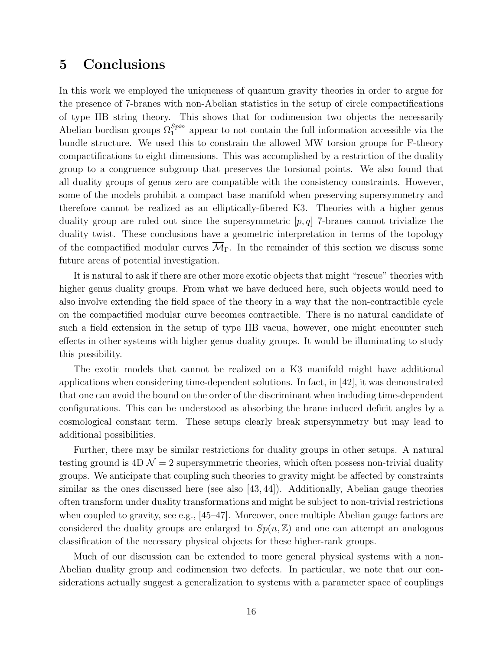#### <span id="page-16-0"></span>5 Conclusions

In this work we employed the uniqueness of quantum gravity theories in order to argue for the presence of 7-branes with non-Abelian statistics in the setup of circle compactifications of type IIB string theory. This shows that for codimension two objects the necessarily Abelian bordism groups  $\Omega_1^{Spin}$  appear to not contain the full information accessible via the bundle structure. We used this to constrain the allowed MW torsion groups for F-theory compactifications to eight dimensions. This was accomplished by a restriction of the duality group to a congruence subgroup that preserves the torsional points. We also found that all duality groups of genus zero are compatible with the consistency constraints. However, some of the models prohibit a compact base manifold when preserving supersymmetry and therefore cannot be realized as an elliptically-fibered K3. Theories with a higher genus duality group are ruled out since the supersymmetric  $[p, q]$  7-branes cannot trivialize the duality twist. These conclusions have a geometric interpretation in terms of the topology of the compactified modular curves  $\overline{\mathcal{M}}_{\Gamma}$ . In the remainder of this section we discuss some future areas of potential investigation.

It is natural to ask if there are other more exotic objects that might "rescue" theories with higher genus duality groups. From what we have deduced here, such objects would need to also involve extending the field space of the theory in a way that the non-contractible cycle on the compactified modular curve becomes contractible. There is no natural candidate of such a field extension in the setup of type IIB vacua, however, one might encounter such effects in other systems with higher genus duality groups. It would be illuminating to study this possibility.

The exotic models that cannot be realized on a K3 manifold might have additional applications when considering time-dependent solutions. In fact, in [\[42\]](#page-23-10), it was demonstrated that one can avoid the bound on the order of the discriminant when including time-dependent configurations. This can be understood as absorbing the brane induced deficit angles by a cosmological constant term. These setups clearly break supersymmetry but may lead to additional possibilities.

Further, there may be similar restrictions for duality groups in other setups. A natural testing ground is  $4D\mathcal{N}=2$  supersymmetric theories, which often possess non-trivial duality groups. We anticipate that coupling such theories to gravity might be affected by constraints similar as the ones discussed here (see also [\[43,](#page-23-11) [44\]](#page-23-12)). Additionally, Abelian gauge theories often transform under duality transformations and might be subject to non-trivial restrictions when coupled to gravity, see e.g., [\[45–](#page-24-0)[47\]](#page-24-1). Moreover, once multiple Abelian gauge factors are considered the duality groups are enlarged to  $Sp(n, \mathbb{Z})$  and one can attempt an analogous classification of the necessary physical objects for these higher-rank groups.

Much of our discussion can be extended to more general physical systems with a non-Abelian duality group and codimension two defects. In particular, we note that our considerations actually suggest a generalization to systems with a parameter space of couplings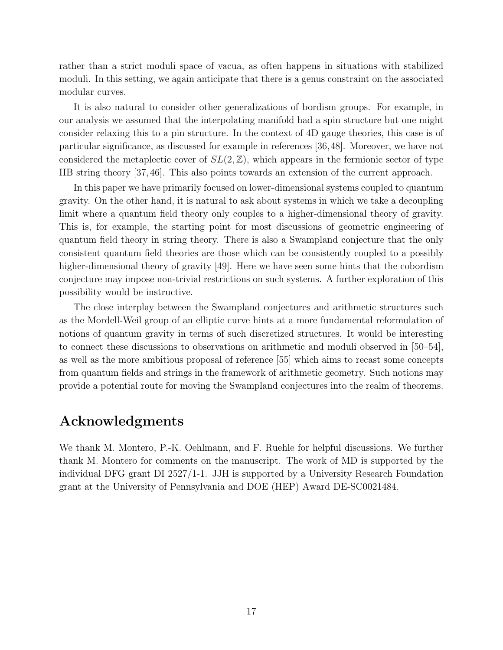rather than a strict moduli space of vacua, as often happens in situations with stabilized moduli. In this setting, we again anticipate that there is a genus constraint on the associated modular curves.

It is also natural to consider other generalizations of bordism groups. For example, in our analysis we assumed that the interpolating manifold had a spin structure but one might consider relaxing this to a pin structure. In the context of 4D gauge theories, this case is of particular significance, as discussed for example in references [\[36,](#page-23-4)[48\]](#page-24-2). Moreover, we have not considered the metaplectic cover of  $SL(2, \mathbb{Z})$ , which appears in the fermionic sector of type IIB string theory [\[37,](#page-23-6) [46\]](#page-24-3). This also points towards an extension of the current approach.

In this paper we have primarily focused on lower-dimensional systems coupled to quantum gravity. On the other hand, it is natural to ask about systems in which we take a decoupling limit where a quantum field theory only couples to a higher-dimensional theory of gravity. This is, for example, the starting point for most discussions of geometric engineering of quantum field theory in string theory. There is also a Swampland conjecture that the only consistent quantum field theories are those which can be consistently coupled to a possibly higher-dimensional theory of gravity [\[49\]](#page-24-4). Here we have seen some hints that the cobordism conjecture may impose non-trivial restrictions on such systems. A further exploration of this possibility would be instructive.

The close interplay between the Swampland conjectures and arithmetic structures such as the Mordell-Weil group of an elliptic curve hints at a more fundamental reformulation of notions of quantum gravity in terms of such discretized structures. It would be interesting to connect these discussions to observations on arithmetic and moduli observed in [\[50–](#page-24-5)[54\]](#page-24-6), as well as the more ambitious proposal of reference [\[55\]](#page-24-7) which aims to recast some concepts from quantum fields and strings in the framework of arithmetic geometry. Such notions may provide a potential route for moving the Swampland conjectures into the realm of theorems.

#### Acknowledgments

We thank M. Montero, P.-K. Oehlmann, and F. Ruehle for helpful discussions. We further thank M. Montero for comments on the manuscript. The work of MD is supported by the individual DFG grant DI 2527/1-1. JJH is supported by a University Research Foundation grant at the University of Pennsylvania and DOE (HEP) Award DE-SC0021484.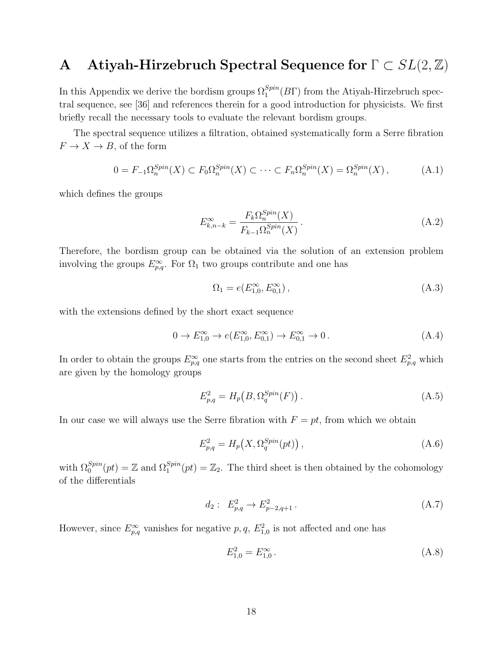### <span id="page-18-0"></span>A Atiyah-Hirzebruch Spectral Sequence for  $\Gamma \subset SL(2,\mathbb{Z})$

In this Appendix we derive the bordism groups  $\Omega_1^{Spin}(B\Gamma)$  from the Atiyah-Hirzebruch spectral sequence, see [\[36\]](#page-23-4) and references therein for a good introduction for physicists. We first briefly recall the necessary tools to evaluate the relevant bordism groups.

The spectral sequence utilizes a filtration, obtained systematically form a Serre fibration  $F \to X \to B$ , of the form

$$
0 = F_{-1}\Omega_n^{Spin}(X) \subset F_0\Omega_n^{Spin}(X) \subset \cdots \subset F_n\Omega_n^{Spin}(X) = \Omega_n^{Spin}(X) ,\tag{A.1}
$$

which defines the groups

$$
E_{k,n-k}^{\infty} = \frac{F_k \Omega_n^{Spin}(X)}{F_{k-1} \Omega_n^{Spin}(X)}.
$$
\n(A.2)

Therefore, the bordism group can be obtained via the solution of an extension problem involving the groups  $E_{p,q}^{\infty}$ . For  $\Omega_1$  two groups contribute and one has

$$
\Omega_1 = e(E_{1,0}^{\infty}, E_{0,1}^{\infty}), \tag{A.3}
$$

with the extensions defined by the short exact sequence

$$
0 \to E_{1,0}^{\infty} \to e(E_{1,0}^{\infty}, E_{0,1}^{\infty}) \to E_{0,1}^{\infty} \to 0.
$$
 (A.4)

In order to obtain the groups  $E_{p,q}^{\infty}$  one starts from the entries on the second sheet  $E_{p,q}^2$  which are given by the homology groups

$$
E_{p,q}^2 = H_p\big(B, \Omega_q^{Spin}(F)\big). \tag{A.5}
$$

In our case we will always use the Serre fibration with  $F = pt$ , from which we obtain

$$
E_{p,q}^2 = H_p\big(X, \Omega_q^{Spin}(pt)\big)\,,\tag{A.6}
$$

with  $\Omega_0^{Spin}(pt) = \mathbb{Z}$  and  $\Omega_1^{Spin}(pt) = \mathbb{Z}_2$ . The third sheet is then obtained by the cohomology of the differentials

$$
d_2: E_{p,q}^2 \to E_{p-2,q+1}^2. \tag{A.7}
$$

However, since  $E_{p,q}^{\infty}$  vanishes for negative p, q,  $E_{1,0}^2$  is not affected and one has

$$
E_{1,0}^2 = E_{1,0}^{\infty} \,. \tag{A.8}
$$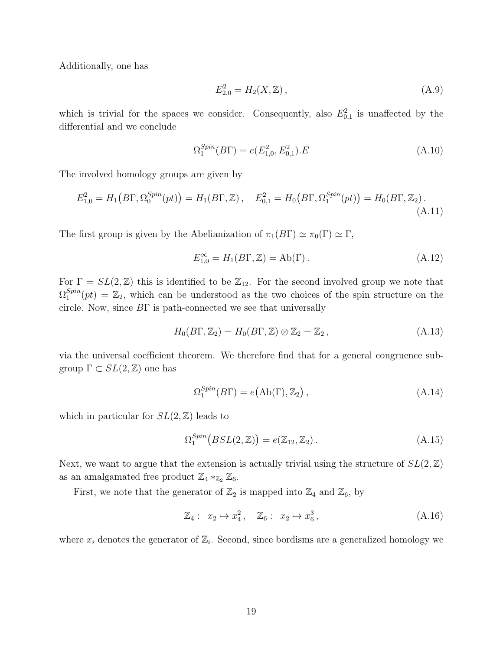Additionally, one has

$$
E_{2,0}^2 = H_2(X, \mathbb{Z}), \tag{A.9}
$$

which is trivial for the spaces we consider. Consequently, also  $E_{0,1}^2$  is unaffected by the differential and we conclude

$$
\Omega_1^{Spin}(B\Gamma) = e(E_{1,0}^2, E_{0,1}^2).E\tag{A.10}
$$

The involved homology groups are given by

$$
E_{1,0}^2 = H_1(B\Gamma, \Omega_0^{Spin}(pt)) = H_1(B\Gamma, \mathbb{Z}), \quad E_{0,1}^2 = H_0(B\Gamma, \Omega_1^{Spin}(pt)) = H_0(B\Gamma, \mathbb{Z}_2).
$$
\n(A.11)

The first group is given by the Abelianization of  $\pi_1(B\Gamma) \simeq \pi_0(\Gamma) \simeq \Gamma$ ,

$$
E_{1,0}^{\infty} = H_1(B\Gamma, \mathbb{Z}) = \text{Ab}(\Gamma). \tag{A.12}
$$

For  $\Gamma = SL(2, \mathbb{Z})$  this is identified to be  $\mathbb{Z}_{12}$ . For the second involved group we note that  $\Omega_1^{Spin}$  $\mathbb{Z}_1^{pnn}(pt) = \mathbb{Z}_2$ , which can be understood as the two choices of the spin structure on the circle. Now, since  $B\Gamma$  is path-connected we see that universally

$$
H_0(B\Gamma, \mathbb{Z}_2) = H_0(B\Gamma, \mathbb{Z}) \otimes \mathbb{Z}_2 = \mathbb{Z}_2, \qquad (A.13)
$$

via the universal coefficient theorem. We therefore find that for a general congruence subgroup  $\Gamma \subset SL(2,\mathbb{Z})$  one has

$$
\Omega_1^{Spin}(B\Gamma) = e(\text{Ab}(\Gamma), \mathbb{Z}_2), \qquad (A.14)
$$

which in particular for  $SL(2, \mathbb{Z})$  leads to

$$
\Omega_1^{Spin}(BSL(2,\mathbb{Z})) = e(\mathbb{Z}_{12}, \mathbb{Z}_2). \tag{A.15}
$$

Next, we want to argue that the extension is actually trivial using the structure of  $SL(2, \mathbb{Z})$ as an amalgamated free product  $\mathbb{Z}_4 *_{\mathbb{Z}_2} \mathbb{Z}_6$ .

First, we note that the generator of  $\mathbb{Z}_2$  is mapped into  $\mathbb{Z}_4$  and  $\mathbb{Z}_6$ , by

$$
\mathbb{Z}_4: x_2 \mapsto x_4^2, \quad \mathbb{Z}_6: x_2 \mapsto x_6^3, \tag{A.16}
$$

where  $x_i$  denotes the generator of  $\mathbb{Z}_i$ . Second, since bordisms are a generalized homology we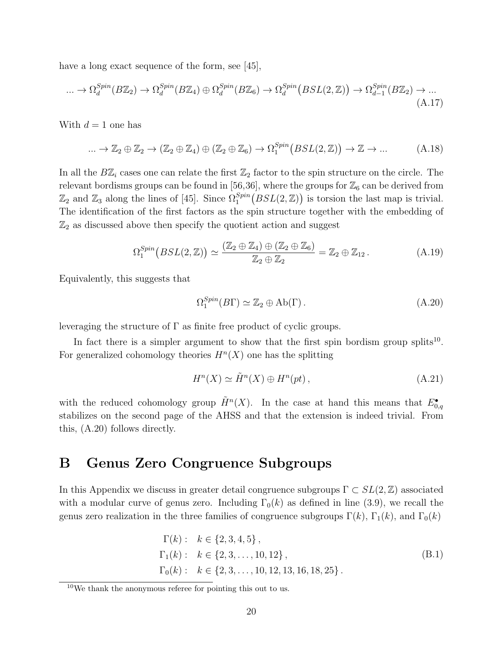have a long exact sequence of the form, see [\[45\]](#page-24-0),

$$
\dots \to \Omega_d^{Spin}(B\mathbb{Z}_2) \to \Omega_d^{Spin}(B\mathbb{Z}_4) \oplus \Omega_d^{Spin}(B\mathbb{Z}_6) \to \Omega_d^{Spin}(BSL(2,\mathbb{Z})) \to \Omega_{d-1}^{Spin}(B\mathbb{Z}_2) \to \dots \tag{A.17}
$$

With  $d=1$  one has

$$
\dots \to \mathbb{Z}_2 \oplus \mathbb{Z}_2 \to (\mathbb{Z}_2 \oplus \mathbb{Z}_4) \oplus (\mathbb{Z}_2 \oplus \mathbb{Z}_6) \to \Omega_1^{Spin}(BSL(2,\mathbb{Z})) \to \mathbb{Z} \to \dots \tag{A.18}
$$

In all the  $B\mathbb{Z}_i$  cases one can relate the first  $\mathbb{Z}_2$  factor to the spin structure on the circle. The relevant bordisms groups can be found in [\[56,](#page-24-8)[36\]](#page-23-4), where the groups for  $\mathbb{Z}_6$  can be derived from  $\mathbb{Z}_2$  and  $\mathbb{Z}_3$  along the lines of [\[45\]](#page-24-0). Since  $\Omega_1^{Spin}(BSL(2,\mathbb{Z}))$  is torsion the last map is trivial. The identification of the first factors as the spin structure together with the embedding of  $\mathbb{Z}_2$  as discussed above then specify the quotient action and suggest

$$
\Omega_1^{Spin}(BSL(2,\mathbb{Z})) \simeq \frac{(\mathbb{Z}_2 \oplus \mathbb{Z}_4) \oplus (\mathbb{Z}_2 \oplus \mathbb{Z}_6)}{\mathbb{Z}_2 \oplus \mathbb{Z}_2} = \mathbb{Z}_2 \oplus \mathbb{Z}_{12}.
$$
 (A.19)

Equivalently, this suggests that

<span id="page-20-2"></span>
$$
\Omega_1^{Spin}(B\Gamma) \simeq \mathbb{Z}_2 \oplus \mathrm{Ab}(\Gamma) \,. \tag{A.20}
$$

leveraging the structure of  $\Gamma$  as finite free product of cyclic groups.

In fact there is a simpler argument to show that the first spin bordism group splits<sup>[10](#page-20-1)</sup>. For generalized cohomology theories  $H<sup>n</sup>(X)$  one has the splitting

$$
H^{n}(X) \simeq \tilde{H}^{n}(X) \oplus H^{n}(pt), \qquad (A.21)
$$

with the reduced cohomology group  $\tilde{H}^n(X)$ . In the case at hand this means that  $E_{0,q}^{\bullet}$ stabilizes on the second page of the AHSS and that the extension is indeed trivial. From this, [\(A.20\)](#page-20-2) follows directly.

#### <span id="page-20-0"></span>B Genus Zero Congruence Subgroups

In this Appendix we discuss in greater detail congruence subgroups  $\Gamma \subset SL(2, \mathbb{Z})$  associated with a modular curve of genus zero. Including  $\Gamma_0(k)$  as defined in line [\(3.9\)](#page-12-0), we recall the genus zero realization in the three families of congruence subgroups  $\Gamma(k)$ ,  $\Gamma_1(k)$ , and  $\Gamma_0(k)$ 

$$
\Gamma(k): k \in \{2, 3, 4, 5\},
$$
  
\n
$$
\Gamma_1(k): k \in \{2, 3, ..., 10, 12\},
$$
  
\n
$$
\Gamma_0(k): k \in \{2, 3, ..., 10, 12, 13, 16, 18, 25\}.
$$
\n(B.1)

<span id="page-20-1"></span><sup>10</sup>We thank the anonymous referee for pointing this out to us.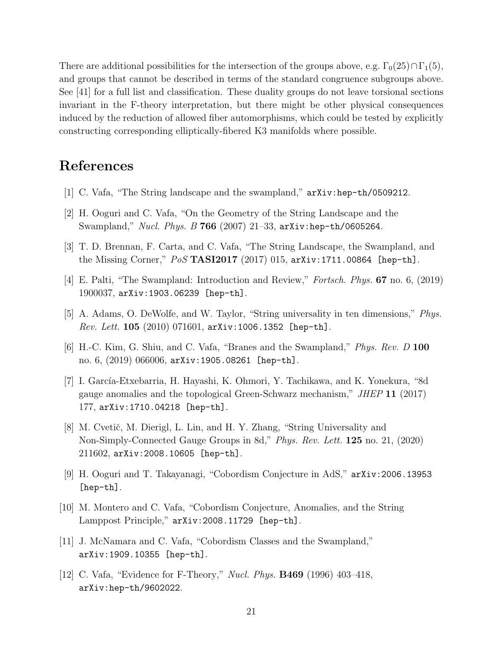There are additional possibilities for the intersection of the groups above, e.g.  $\Gamma_0(25)\cap \Gamma_1(5)$ , and groups that cannot be described in terms of the standard congruence subgroups above. See [\[41\]](#page-23-9) for a full list and classification. These duality groups do not leave torsional sections invariant in the F-theory interpretation, but there might be other physical consequences induced by the reduction of allowed fiber automorphisms, which could be tested by explicitly constructing corresponding elliptically-fibered K3 manifolds where possible.

#### References

- <span id="page-21-0"></span>[1] C. Vafa, "The String landscape and the swampland," [arXiv:hep-th/0509212](http://arxiv.org/abs/hep-th/0509212).
- <span id="page-21-1"></span>[2] H. Ooguri and C. Vafa, "On the Geometry of the String Landscape and the Swampland," [Nucl. Phys. B](http://dx.doi.org/10.1016/j.nuclphysb.2006.10.033) 766 (2007) 21-33,  $arXiv:hep-th/0605264$ .
- <span id="page-21-2"></span>[3] T. D. Brennan, F. Carta, and C. Vafa, "The String Landscape, the Swampland, and the Missing Corner,"  $Pos$  [TASI2017](http://dx.doi.org/10.22323/1.305.0015) (2017) 015, [arXiv:1711.00864 \[hep-th\]](http://arxiv.org/abs/1711.00864).
- <span id="page-21-3"></span>[4] E. Palti, "The Swampland: Introduction and Review," [Fortsch. Phys.](http://dx.doi.org/10.1002/prop.201900037) 67 no. 6, (2019) [1900037,](http://dx.doi.org/10.1002/prop.201900037) [arXiv:1903.06239 \[hep-th\]](http://arxiv.org/abs/1903.06239).
- <span id="page-21-4"></span>[5] A. Adams, O. DeWolfe, and W. Taylor, "String universality in ten dimensions," [Phys.](http://dx.doi.org/10.1103/PhysRevLett.105.071601) *Rev. Lett.*  $105$  [\(2010\) 071601,](http://dx.doi.org/10.1103/PhysRevLett.105.071601)  $arXiv:1006.1352$  [hep-th].
- <span id="page-21-5"></span>[6] H.-C. Kim, G. Shiu, and C. Vafa, "Branes and the Swampland," [Phys. Rev. D](http://dx.doi.org/10.1103/PhysRevD.100.066006) 100 [no. 6, \(2019\) 066006,](http://dx.doi.org/10.1103/PhysRevD.100.066006) [arXiv:1905.08261 \[hep-th\]](http://arxiv.org/abs/1905.08261).
- <span id="page-21-6"></span>[7] I. García-Etxebarria, H. Hayashi, K. Ohmori, Y. Tachikawa, and K. Yonekura, "8d gauge anomalies and the topological Green-Schwarz mechanism," JHEP 11 [\(2017\)](http://dx.doi.org/10.1007/JHEP11(2017)177) [177,](http://dx.doi.org/10.1007/JHEP11(2017)177) [arXiv:1710.04218 \[hep-th\]](http://arxiv.org/abs/1710.04218).
- <span id="page-21-7"></span>[8] M. Cvetič, M. Dierigl, L. Lin, and H. Y. Zhang, "String Universality and Non-Simply-Connected Gauge Groups in 8d," [Phys. Rev. Lett.](http://dx.doi.org/10.1103/PhysRevLett.125.211602) 125 no. 21, (2020) [211602,](http://dx.doi.org/10.1103/PhysRevLett.125.211602) [arXiv:2008.10605 \[hep-th\]](http://arxiv.org/abs/2008.10605).
- <span id="page-21-10"></span>[9] H. Ooguri and T. Takayanagi, "Cobordism Conjecture in AdS," [arXiv:2006.13953](http://arxiv.org/abs/2006.13953) [\[hep-th\]](http://arxiv.org/abs/2006.13953).
- <span id="page-21-8"></span>[10] M. Montero and C. Vafa, "Cobordism Conjecture, Anomalies, and the String Lamppost Principle," [arXiv:2008.11729 \[hep-th\]](http://arxiv.org/abs/2008.11729).
- <span id="page-21-9"></span>[11] J. McNamara and C. Vafa, "Cobordism Classes and the Swampland," [arXiv:1909.10355 \[hep-th\]](http://arxiv.org/abs/1909.10355).
- <span id="page-21-11"></span>[12] C. Vafa, "Evidence for F-Theory," Nucl. Phys. B469 [\(1996\) 403–418,](http://dx.doi.org/10.1016/0550-3213(96)00172-1) [arXiv:hep-th/9602022](http://arxiv.org/abs/hep-th/9602022).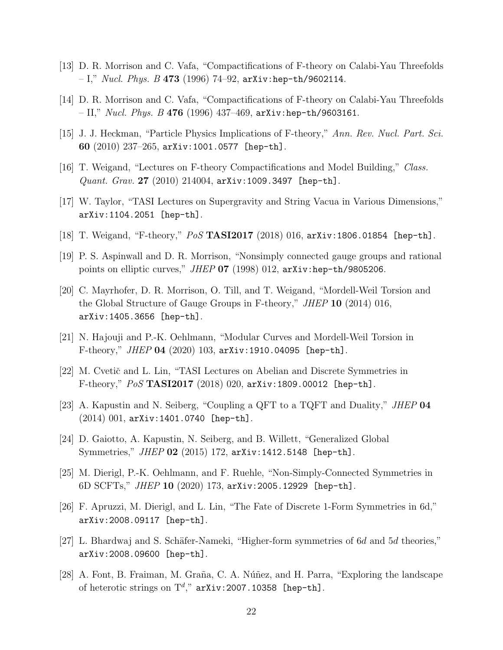- [13] D. R. Morrison and C. Vafa, "Compactifications of F-theory on Calabi-Yau Threefolds  $-$  I," *[Nucl. Phys. B](http://dx.doi.org/10.1016/0550-3213(96)00242-8)* 473 (1996) 74–92, [arXiv:hep-th/9602114](http://arxiv.org/abs/hep-th/9602114).
- <span id="page-22-0"></span>[14] D. R. Morrison and C. Vafa, "Compactifications of F-theory on Calabi-Yau Threefolds - II," Nucl. Phys. B 476 (1996) 437-469, [arXiv:hep-th/9603161](http://arxiv.org/abs/hep-th/9603161).
- <span id="page-22-1"></span>[15] J. J. Heckman, "Particle Physics Implications of F-theory," [Ann. Rev. Nucl. Part. Sci.](http://dx.doi.org/10.1146/annurev.nucl.012809.104532) 60  $(2010)$  237-265, [arXiv:1001.0577 \[hep-th\]](http://arxiv.org/abs/1001.0577).
- [16] T. Weigand, "Lectures on F-theory Compactifications and Model Building," [Class.](http://dx.doi.org/10.1088/0264-9381/27/21/214004) Quant. Grav. 27 [\(2010\) 214004,](http://dx.doi.org/10.1088/0264-9381/27/21/214004)  $arXiv:1009.3497$  [hep-th].
- [17] W. Taylor, "TASI Lectures on Supergravity and String Vacua in Various Dimensions," [arXiv:1104.2051 \[hep-th\]](http://arxiv.org/abs/1104.2051).
- <span id="page-22-2"></span>[18] T. Weigand, "F-theory," PoS TASI2017 (2018) 016, [arXiv:1806.01854 \[hep-th\]](http://arxiv.org/abs/1806.01854).
- <span id="page-22-3"></span>[19] P. S. Aspinwall and D. R. Morrison, "Nonsimply connected gauge groups and rational points on elliptic curves,"  $JHEP$  07 [\(1998\) 012,](http://dx.doi.org/10.1088/1126-6708/1998/07/012)  $arXiv:hep-th/9805206$ .
- [20] C. Mayrhofer, D. R. Morrison, O. Till, and T. Weigand, "Mordell-Weil Torsion and the Global Structure of Gauge Groups in F-theory,"  $JHEP$  10 [\(2014\) 016,](http://dx.doi.org/10.1007/JHEP10(2014)016) [arXiv:1405.3656 \[hep-th\]](http://arxiv.org/abs/1405.3656).
- <span id="page-22-4"></span>[21] N. Hajouji and P.-K. Oehlmann, "Modular Curves and Mordell-Weil Torsion in F-theory,"  $JHEP$  04 [\(2020\) 103,](http://dx.doi.org/10.1007/JHEP04(2020)103)  $arXiv:1910.04095$  [hep-th].
- <span id="page-22-5"></span>[22] M. Cvetič and L. Lin, "TASI Lectures on Abelian and Discrete Symmetries in F-theory,"  $PoS$  [TASI2017](http://dx.doi.org/10.22323/1.305.0020) (2018) 020, [arXiv:1809.00012 \[hep-th\]](http://arxiv.org/abs/1809.00012).
- <span id="page-22-7"></span>[23] A. Kapustin and N. Seiberg, "Coupling a QFT to a TQFT and Duality," [JHEP](http://dx.doi.org/10.1007/JHEP04(2014)001) 04  $(2014)$  001, [arXiv:1401.0740 \[hep-th\]](http://arxiv.org/abs/1401.0740).
- <span id="page-22-8"></span>[24] D. Gaiotto, A. Kapustin, N. Seiberg, and B. Willett, "Generalized Global Symmetries,"  $JHEP$  02 [\(2015\) 172,](http://dx.doi.org/10.1007/JHEP02(2015)172)  $arXiv:1412.5148$  [hep-th].
- <span id="page-22-9"></span>[25] M. Dierigl, P.-K. Oehlmann, and F. Ruehle, "Non-Simply-Connected Symmetries in 6D SCFTs,"  $JHEP$  10 [\(2020\) 173,](http://dx.doi.org/10.1007/JHEP10(2020)173) [arXiv:2005.12929 \[hep-th\]](http://arxiv.org/abs/2005.12929).
- [26] F. Apruzzi, M. Dierigl, and L. Lin, "The Fate of Discrete 1-Form Symmetries in 6d," [arXiv:2008.09117 \[hep-th\]](http://arxiv.org/abs/2008.09117).
- <span id="page-22-10"></span>[27] L. Bhardwaj and S. Schäfer-Nameki, "Higher-form symmetries of 6d and 5d theories," [arXiv:2008.09600 \[hep-th\]](http://arxiv.org/abs/2008.09600).
- <span id="page-22-6"></span>[28] A. Font, B. Fraiman, M. Graña, C. A. Núñez, and H. Parra, "Exploring the landscape of heterotic strings on  $\mathrm{T}^d,$ " [arXiv:2007.10358 \[hep-th\]](http://arxiv.org/abs/2007.10358).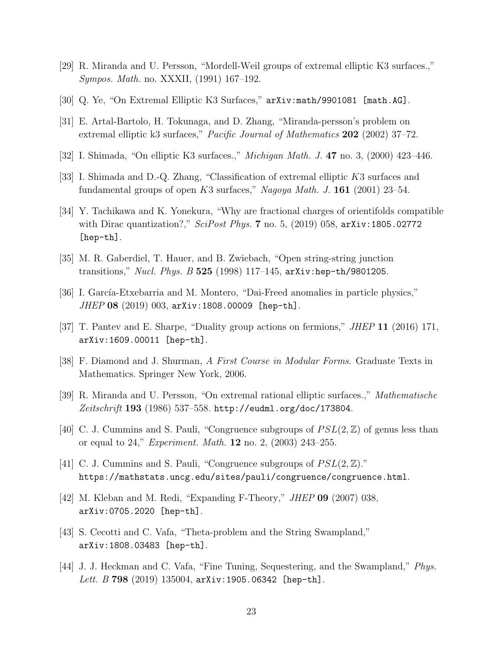- <span id="page-23-0"></span>[29] R. Miranda and U. Persson, "Mordell-Weil groups of extremal elliptic K3 surfaces.," Sympos. Math. no. XXXII, (1991) 167–192.
- [30] Q. Ye, "On Extremal Elliptic K3 Surfaces," [arXiv:math/9901081 \[math.AG\]](http://arxiv.org/abs/math/9901081).
- [31] E. Artal-Bartolo, H. Tokunaga, and D. Zhang, "Miranda-persson's problem on extremal elliptic k3 surfaces," *Pacific Journal of Mathematics* **202** (2002) 37–72.
- [32] I. Shimada, "On elliptic K3 surfaces.," Michigan Math. J. 47 [no. 3, \(2000\) 423–446.](http://dx.doi.org/10.1307/mmj/1030132587)
- <span id="page-23-1"></span>[33] I. Shimada and D.-Q. Zhang, "Classification of extremal elliptic K3 surfaces and fundamental groups of open  $K3$  surfaces," Nagoya Math. J. 161 (2001) 23-54.
- <span id="page-23-2"></span>[34] Y. Tachikawa and K. Yonekura, "Why are fractional charges of orientifolds compatible with Dirac quantization?," SciPost Phys. 7 [no. 5, \(2019\) 058,](http://dx.doi.org/10.21468/SciPostPhys.7.5.058)  $arXiv:1805.02772$ [\[hep-th\]](http://arxiv.org/abs/1805.02772).
- <span id="page-23-3"></span>[35] M. R. Gaberdiel, T. Hauer, and B. Zwiebach, "Open string-string junction transitions," *Nucl. Phys. B* 525 [\(1998\) 117–145,](http://dx.doi.org/10.1016/S0550-3213(98)00290-9)  $arXiv:hep-th/9801205$ .
- <span id="page-23-4"></span>[36] I. García-Etxebarria and M. Montero, "Dai-Freed anomalies in particle physics,"  $JHEP$  08 [\(2019\) 003,](http://dx.doi.org/10.1007/JHEP08(2019)003) [arXiv:1808.00009 \[hep-th\]](http://arxiv.org/abs/1808.00009).
- <span id="page-23-6"></span>[37] T. Pantev and E. Sharpe, "Duality group actions on fermions," JHEP 11 [\(2016\) 171,](http://dx.doi.org/10.1007/JHEP11(2016)171) [arXiv:1609.00011 \[hep-th\]](http://arxiv.org/abs/1609.00011).
- <span id="page-23-5"></span>[38] F. Diamond and J. Shurman, A First Course in Modular Forms. Graduate Texts in Mathematics. Springer New York, 2006.
- <span id="page-23-7"></span>[39] R. Miranda and U. Persson, "On extremal rational elliptic surfaces.," Mathematische Zeitschrift 193 (1986) 537-558. <http://eudml.org/doc/173804>.
- <span id="page-23-8"></span>[40] C. J. Cummins and S. Pauli, "Congruence subgroups of  $PSL(2, \mathbb{Z})$  of genus less than or equal to 24," *Experiment. Math.* **12** no. 2,  $(2003)$  243–255.
- <span id="page-23-9"></span>[41] C. J. Cummins and S. Pauli, "Congruence subgroups of  $PSL(2, \mathbb{Z})$ ." <https://mathstats.uncg.edu/sites/pauli/congruence/congruence.html>.
- <span id="page-23-10"></span>[42] M. Kleban and M. Redi, "Expanding F-Theory," JHEP 09 [\(2007\) 038,](http://dx.doi.org/10.1088/1126-6708/2007/09/038) [arXiv:0705.2020 \[hep-th\]](http://arxiv.org/abs/0705.2020).
- <span id="page-23-11"></span>[43] S. Cecotti and C. Vafa, "Theta-problem and the String Swampland," [arXiv:1808.03483 \[hep-th\]](http://arxiv.org/abs/1808.03483).
- <span id="page-23-12"></span>[44] J. J. Heckman and C. Vafa, "Fine Tuning, Sequestering, and the Swampland," [Phys.](http://dx.doi.org/10.1016/j.physletb.2019.135004) *Lett. B* 798 [\(2019\) 135004,](http://dx.doi.org/10.1016/j.physletb.2019.135004)  $arXiv:1905.06342$  [hep-th].